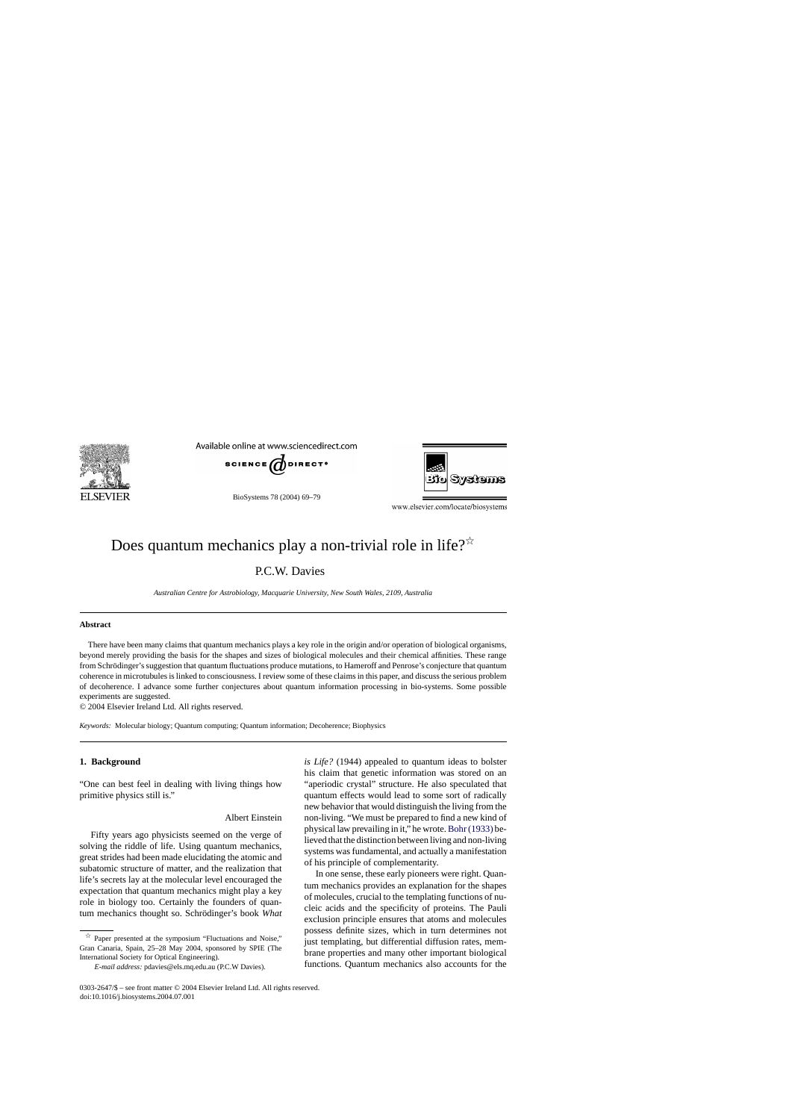

Available online at www.sciencedirect.com



BioSystems 78 (2004) 69–79



www.elsevier.com/locate/biosystems

# Does quantum mechanics play a non-trivial role in life? $\alpha$

P.C.W. Davies

*Australian Centre for Astrobiology, Macquarie University, New South Wales, 2109, Australia*

## **Abstract**

There have been many claims that quantum mechanics plays a key role in the origin and/or operation of biological organisms, beyond merely providing the basis for the shapes and sizes of biological molecules and their chemical affinities. These range from Schrödinger's suggestion that quantum fluctuations produce mutations, to Hameroff and Penrose's conjecture that quantum coherence in microtubules is linked to consciousness. I review some of these claims in this paper, and discuss the serious problem of decoherence. I advance some further conjectures about quantum information processing in bio-systems. Some possible experiments are suggested.

© 2004 Elsevier Ireland Ltd. All rights reserved.

*Keywords:* Molecular biology; Quantum computing; Quantum information; Decoherence; Biophysics

# **1. Background**

"One can best feel in dealing with living things how primitive physics still is."

# Albert Einstein

Fifty years ago physicists seemed on the verge of solving the riddle of life. Using quantum mechanics, great strides had been made elucidating the atomic and subatomic structure of matter, and the realization that life's secrets lay at the molecular level encouraged the expectation that quantum mechanics might play a key role in biology too. Certainly the founders of quantum mechanics thought so. Schrödinger's book What *is Life?* (1944) appealed to quantum ideas to bolster his claim that genetic information was stored on an "aperiodic crystal" structure. He also speculated that quantum effects would lead to some sort of radically new behavior that would distinguish the living from the non-living. "We must be prepared to find a new kind of physical law prevailing in it," he wrote.[Bohr \(1933\)](#page-9-0) believed that the distinction between living and non-living systems was fundamental, and actually a manifestation of his principle of complementarity.

In one sense, these early pioneers were right. Quantum mechanics provides an explanation for the shapes of molecules, crucial to the templating functions of nucleic acids and the specificity of proteins. The Pauli exclusion principle ensures that atoms and molecules possess definite sizes, which in turn determines not just templating, but differential diffusion rates, membrane properties and many other important biological functions. Quantum mechanics also accounts for the

 $\overrightarrow{a}$  Paper presented at the symposium "Fluctuations and Noise," Gran Canaria, Spain, 25–28 May 2004, sponsored by SPIE (The International Society for Optical Engineering).

*E-mail address:* pdavies@els.mq.edu.au (P.C.W Davies).

<sup>0303-2647/\$ –</sup> see front matter © 2004 Elsevier Ireland Ltd. All rights reserved. doi:10.1016/j.biosystems.2004.07.001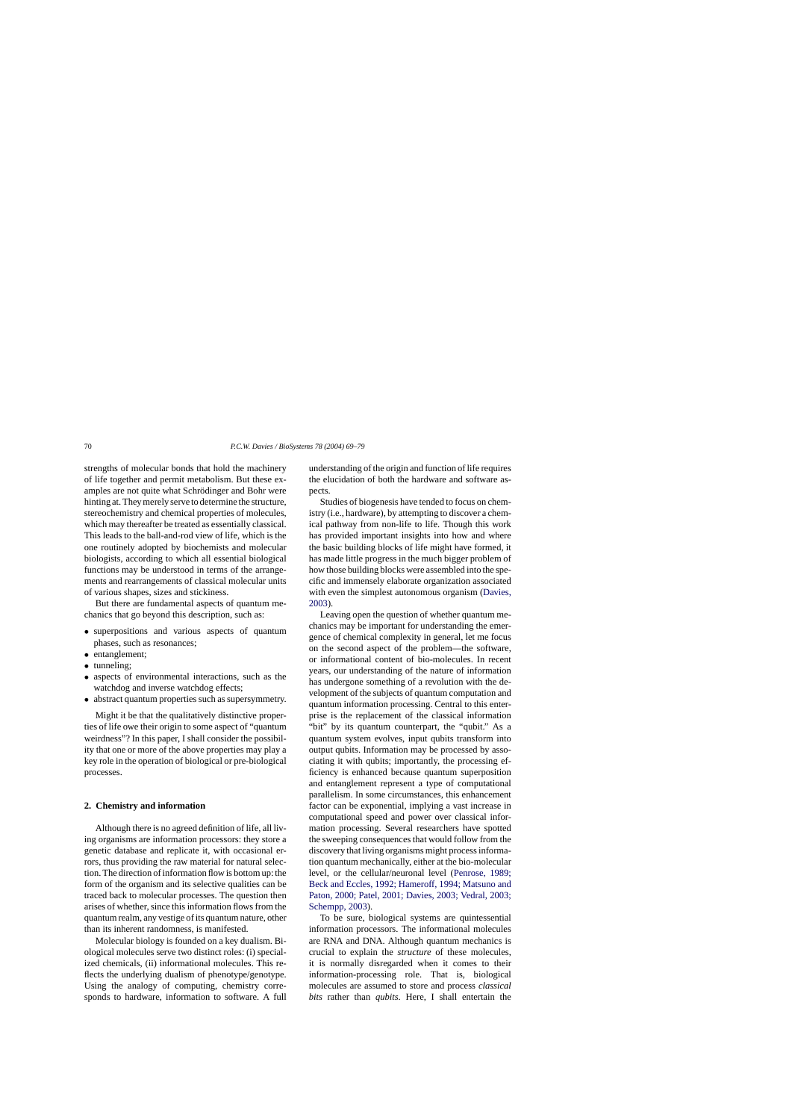strengths of molecular bonds that hold the machinery of life together and permit metabolism. But these examples are not quite what Schrödinger and Bohr were hinting at. They merely serve to determine the structure, stereochemistry and chemical properties of molecules, which may thereafter be treated as essentially classical. This leads to the ball-and-rod view of life, which is the one routinely adopted by biochemists and molecular biologists, according to which all essential biological functions may be understood in terms of the arrangements and rearrangements of classical molecular units of various shapes, sizes and stickiness.

But there are fundamental aspects of quantum mechanics that go beyond this description, such as:

- superpositions and various aspects of quantum phases, such as resonances;
- entanglement;
- tunneling;
- aspects of environmental interactions, such as the watchdog and inverse watchdog effects;
- abstract quantum properties such as supersymmetry.

Might it be that the qualitatively distinctive properties of life owe their origin to some aspect of "quantum weirdness"? In this paper, I shall consider the possibility that one or more of the above properties may play a key role in the operation of biological or pre-biological processes.

#### **2. Chemistry and information**

Although there is no agreed definition of life, all living organisms are information processors: they store a genetic database and replicate it, with occasional errors, thus providing the raw material for natural selection. The direction of information flow is bottom up: the form of the organism and its selective qualities can be traced back to molecular processes. The question then arises of whether, since this information flows from the quantum realm, any vestige of its quantum nature, other than its inherent randomness, is manifested.

Molecular biology is founded on a key dualism. Biological molecules serve two distinct roles: (i) specialized chemicals, (ii) informational molecules. This reflects the underlying dualism of phenotype/genotype. Using the analogy of computing, chemistry corresponds to hardware, information to software. A full understanding of the origin and function of life requires the elucidation of both the hardware and software aspects.

Studies of biogenesis have tended to focus on chemistry (i.e., hardware), by attempting to discover a chemical pathway from non-life to life. Though this work has provided important insights into how and where the basic building blocks of life might have formed, it has made little progress in the much bigger problem of how those building blocks were assembled into the specific and immensely elaborate organization associated with even the simplest autonomous organism ([Davies,](#page-9-0) [2003\).](#page-9-0)

Leaving open the question of whether quantum mechanics may be important for understanding the emergence of chemical complexity in general, let me focus on the second aspect of the problem—the software, or informational content of bio-molecules. In recent years, our understanding of the nature of information has undergone something of a revolution with the development of the subjects of quantum computation and quantum information processing. Central to this enterprise is the replacement of the classical information "bit" by its quantum counterpart, the "qubit." As a quantum system evolves, input qubits transform into output qubits. Information may be processed by associating it with qubits; importantly, the processing efficiency is enhanced because quantum superposition and entanglement represent a type of computational parallelism. In some circumstances, this enhancement factor can be exponential, implying a vast increase in computational speed and power over classical information processing. Several researchers have spotted the sweeping consequences that would follow from the discovery that living organisms might process information quantum mechanically, either at the bio-molecular level, or the cellular/neuronal level ([Penrose, 1989;](#page-10-0) [Beck and Eccles, 1992; Hameroff, 1994; Matsuno and](#page-10-0) [Paton, 2000; Patel, 2001; Davies, 2003; Vedral, 2003;](#page-10-0) [Schempp, 2003\).](#page-10-0)

To be sure, biological systems are quintessential information processors. The informational molecules are RNA and DNA. Although quantum mechanics is crucial to explain the *structure* of these molecules, it is normally disregarded when it comes to their information-processing role. That is, biological molecules are assumed to store and process *classical bits* rather than *qubits*. Here, I shall entertain the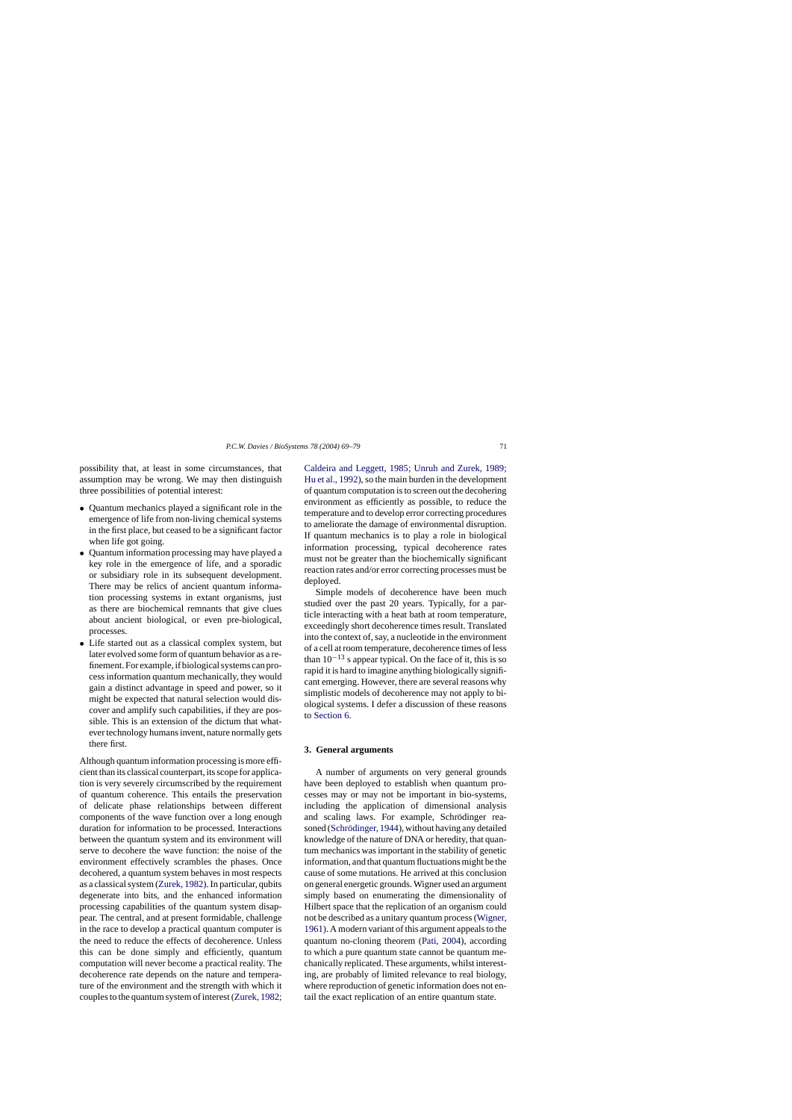possibility that, at least in some circumstances, that assumption may be wrong. We may then distinguish three possibilities of potential interest:

- Quantum mechanics played a significant role in the emergence of life from non-living chemical systems in the first place, but ceased to be a significant factor when life got going.
- Quantum information processing may have played a key role in the emergence of life, and a sporadic or subsidiary role in its subsequent development. There may be relics of ancient quantum information processing systems in extant organisms, just as there are biochemical remnants that give clues about ancient biological, or even pre-biological, processes.
- Life started out as a classical complex system, but later evolved some form of quantum behavior as a refinement. For example, if biological systems can process information quantum mechanically, they would gain a distinct advantage in speed and power, so it might be expected that natural selection would discover and amplify such capabilities, if they are possible. This is an extension of the dictum that whatever technology humans invent, nature normally gets there first.

Although quantum information processing is more efficient than its classical counterpart, its scope for application is very severely circumscribed by the requirement of quantum coherence. This entails the preservation of delicate phase relationships between different components of the wave function over a long enough duration for information to be processed. Interactions between the quantum system and its environment will serve to decohere the wave function: the noise of the environment effectively scrambles the phases. Once decohered, a quantum system behaves in most respects as a classical system [\(Zurek, 1982\).](#page-10-0) In particular, qubits degenerate into bits, and the enhanced information processing capabilities of the quantum system disappear. The central, and at present formidable, challenge in the race to develop a practical quantum computer is the need to reduce the effects of decoherence. Unless this can be done simply and efficiently, quantum computation will never become a practical reality. The decoherence rate depends on the nature and temperature of the environment and the strength with which it couples to the quantum system of interest [\(Zurek, 1982;](#page-10-0) [Caldeira and Leggett, 1985; Unruh and Zurek, 1989;](#page-10-0) [Hu et al., 1992\),](#page-10-0) so the main burden in the development of quantum computation is to screen out the decohering environment as efficiently as possible, to reduce the temperature and to develop error correcting procedures to ameliorate the damage of environmental disruption. If quantum mechanics is to play a role in biological information processing, typical decoherence rates must not be greater than the biochemically significant reaction rates and/or error correcting processes must be deployed.

Simple models of decoherence have been much studied over the past 20 years. Typically, for a particle interacting with a heat bath at room temperature, exceedingly short decoherence times result. Translated into the context of, say, a nucleotide in the environment of a cell at room temperature, decoherence times of less than  $10^{-13}$  s appear typical. On the face of it, this is so rapid it is hard to imagine anything biologically significant emerging. However, there are several reasons why simplistic models of decoherence may not apply to biological systems. I defer a discussion of these reasons to [Section 6.](#page-7-0)

### **3. General arguments**

A number of arguments on very general grounds have been deployed to establish when quantum processes may or may not be important in bio-systems, including the application of dimensional analysis and scaling laws. For example, Schrödinger reasoned (Schrödinger, 1944), without having any detailed knowledge of the nature of DNA or heredity, that quantum mechanics was important in the stability of genetic information, and that quantum fluctuations might be the cause of some mutations. He arrived at this conclusion on general energetic grounds. Wigner used an argument simply based on enumerating the dimensionality of Hilbert space that the replication of an organism could not be described as a unitary quantum process [\(Wigner,](#page-10-0) [1961\).](#page-10-0) A modern variant of this argument appeals to the quantum no-cloning theorem ([Pati, 2004\),](#page-10-0) according to which a pure quantum state cannot be quantum mechanically replicated. These arguments, whilst interesting, are probably of limited relevance to real biology, where reproduction of genetic information does not entail the exact replication of an entire quantum state.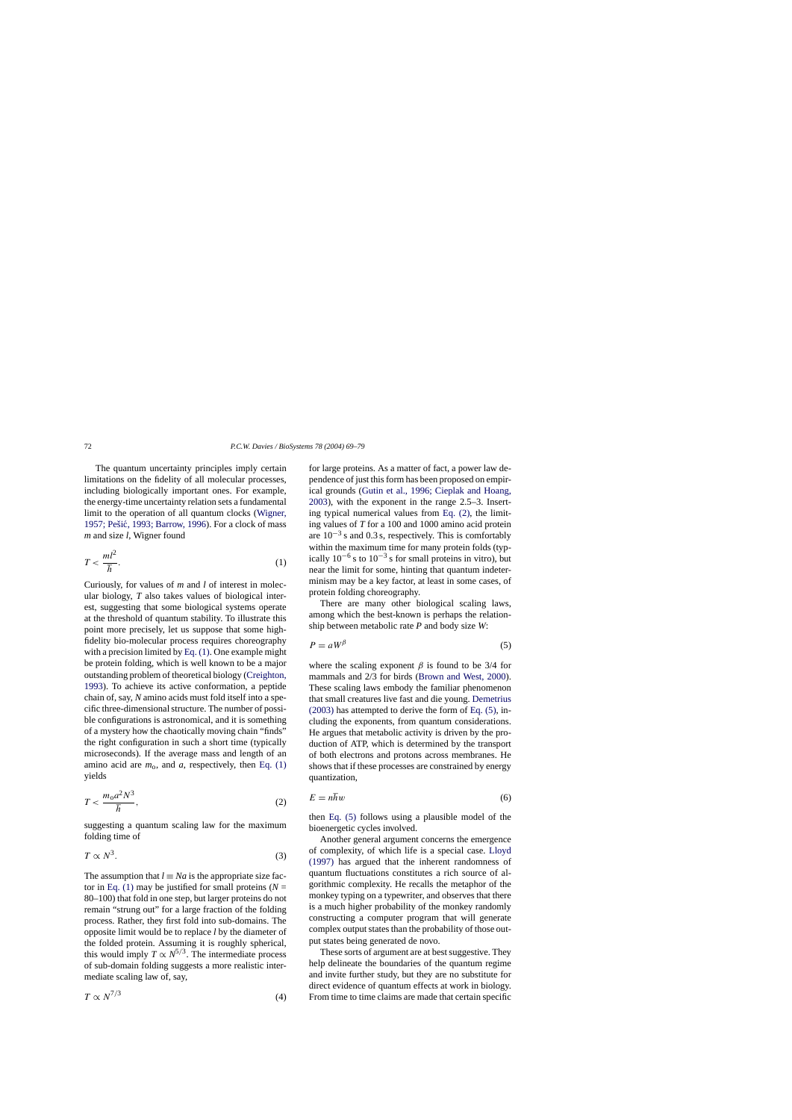The quantum uncertainty principles imply certain limitations on the fidelity of all molecular processes, including biologically important ones. For example, the energy-time uncertainty relation sets a fundamental limit to the operation of all quantum clocks [\(Wigner,](#page-10-0) 1957; Pešić, 1993; Barrow, 1996). For a clock of mass *m* and size *l*, Wigner found

$$
T < \frac{ml^2}{\hbar}.\tag{1}
$$

Curiously, for values of *m* and *l* of interest in molecular biology, *T* also takes values of biological interest, suggesting that some biological systems operate at the threshold of quantum stability. To illustrate this point more precisely, let us suppose that some highfidelity bio-molecular process requires choreography with a precision limited by Eq. (1). One example might be protein folding, which is well known to be a major outstanding problem of theoretical biology [\(Creighton,](#page-9-0) [1993\).](#page-9-0) To achieve its active conformation, a peptide chain of, say, *N* amino acids must fold itself into a specific three-dimensional structure. The number of possible configurations is astronomical, and it is something of a mystery how the chaotically moving chain "finds" the right configuration in such a short time (typically microseconds). If the average mass and length of an amino acid are  $m_0$ , and  $a$ , respectively, then Eq. (1) yields

$$
T < \frac{m_0 a^2 N^3}{\hbar},\tag{2}
$$

suggesting a quantum scaling law for the maximum folding time of

$$
T \propto N^3. \tag{3}
$$

The assumption that  $l \equiv Na$  is the appropriate size factor in Eq. (1) may be justified for small proteins ( $N =$ 80–100) that fold in one step, but larger proteins do not remain "strung out" for a large fraction of the folding process. Rather, they first fold into sub-domains. The opposite limit would be to replace *l* by the diameter of the folded protein. Assuming it is roughly spherical, this would imply  $T \propto N^{5/3}$ . The intermediate process of sub-domain folding suggests a more realistic intermediate scaling law of, say,

$$
T \propto N^{7/3} \tag{4}
$$

for large proteins. As a matter of fact, a power law dependence of just this form has been proposed on empirical grounds [\(Gutin et al., 1996; Cieplak and Hoang,](#page-9-0) [2003\),](#page-9-0) with the exponent in the range 2.5–3. Inserting typical numerical values from Eq. (2), the limiting values of *T* for a 100 and 1000 amino acid protein are  $10^{-3}$  s and 0.3 s, respectively. This is comfortably within the maximum time for many protein folds (typically  $10^{-6}$  s to  $10^{-3}$  s for small proteins in vitro), but near the limit for some, hinting that quantum indeterminism may be a key factor, at least in some cases, of protein folding choreography.

There are many other biological scaling laws, among which the best-known is perhaps the relationship between metabolic rate *P* and body size *W*:

$$
P = aW^{\beta} \tag{5}
$$

where the scaling exponent  $\beta$  is found to be 3/4 for mammals and 2/3 for birds [\(Brown and West, 2000\)](#page-9-0). These scaling laws embody the familiar phenomenon that small creatures live fast and die young. [Demetrius](#page-9-0) [\(2003\)](#page-9-0) has attempted to derive the form of Eq. (5), including the exponents, from quantum considerations. He argues that metabolic activity is driven by the production of ATP, which is determined by the transport of both electrons and protons across membranes. He shows that if these processes are constrained by energy quantization,

$$
E = nhw \tag{6}
$$

then Eq. (5) follows using a plausible model of the bioenergetic cycles involved.

Another general argument concerns the emergence of complexity, of which life is a special case. [Lloyd](#page-9-0) [\(1997\)](#page-9-0) has argued that the inherent randomness of quantum fluctuations constitutes a rich source of algorithmic complexity. He recalls the metaphor of the monkey typing on a typewriter, and observes that there is a much higher probability of the monkey randomly constructing a computer program that will generate complex output states than the probability of those output states being generated de novo.

These sorts of argument are at best suggestive. They help delineate the boundaries of the quantum regime and invite further study, but they are no substitute for direct evidence of quantum effects at work in biology. From time to time claims are made that certain specific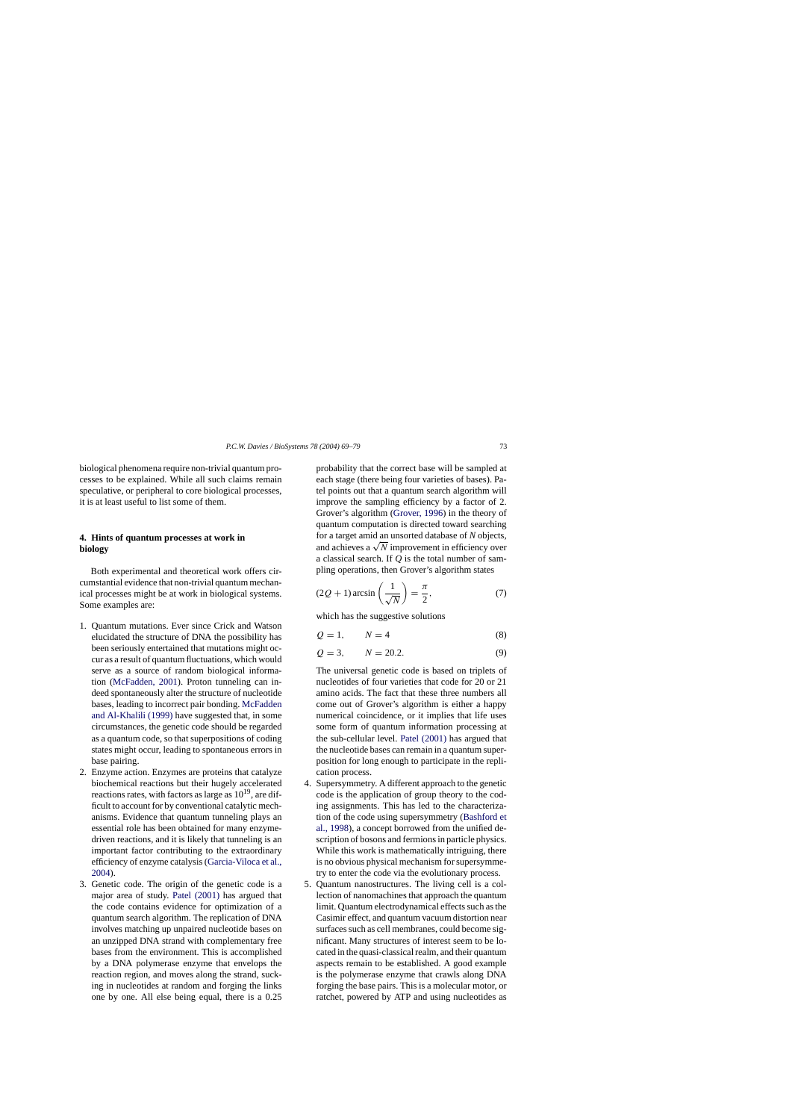biological phenomena require non-trivial quantum processes to be explained. While all such claims remain speculative, or peripheral to core biological processes, it is at least useful to list some of them.

# **4. Hints of quantum processes at work in biology**

Both experimental and theoretical work offers circumstantial evidence that non-trivial quantum mechanical processes might be at work in biological systems. Some examples are:

- 1. Quantum mutations. Ever since Crick and Watson elucidated the structure of DNA the possibility has been seriously entertained that mutations might occur as a result of quantum fluctuations, which would serve as a source of random biological information [\(McFadden, 2001\)](#page-9-0). Proton tunneling can indeed spontaneously alter the structure of nucleotide bases, leading to incorrect pair bonding. [McFadden](#page-9-0) [and Al-Khalili \(1999\)](#page-9-0) have suggested that, in some circumstances, the genetic code should be regarded as a quantum code, so that superpositions of coding states might occur, leading to spontaneous errors in base pairing.
- 2. Enzyme action. Enzymes are proteins that catalyze biochemical reactions but their hugely accelerated reactions rates, with factors as large as  $10^{19}$ , are difficult to account for by conventional catalytic mechanisms. Evidence that quantum tunneling plays an essential role has been obtained for many enzymedriven reactions, and it is likely that tunneling is an important factor contributing to the extraordinary efficiency of enzyme catalysis ([Garcia-Viloca et al.,](#page-9-0) [2004\).](#page-9-0)
- 3. Genetic code. The origin of the genetic code is a major area of study. [Patel \(2001\)](#page-10-0) has argued that the code contains evidence for optimization of a quantum search algorithm. The replication of DNA involves matching up unpaired nucleotide bases on an unzipped DNA strand with complementary free bases from the environment. This is accomplished by a DNA polymerase enzyme that envelops the reaction region, and moves along the strand, sucking in nucleotides at random and forging the links one by one. All else being equal, there is a 0.25

probability that the correct base will be sampled at each stage (there being four varieties of bases). Patel points out that a quantum search algorithm will improve the sampling efficiency by a factor of 2. Grover's algorithm [\(Grover, 1996\)](#page-9-0) in the theory of quantum computation is directed toward searching for a target amid an unsorted database of *N* objects, and achieves a  $\sqrt{N}$  improvement in efficiency over a classical search. If *Q* is the total number of sampling operations, then Grover's algorithm states

$$
(2Q+1)\arcsin\left(\frac{1}{\sqrt{N}}\right) = \frac{\pi}{2},\tag{7}
$$

which has the suggestive solutions

$$
Q = 1, \qquad N = 4 \tag{8}
$$

$$
Q = 3, \t N = 20.2. \t (9)
$$

The universal genetic code is based on triplets of nucleotides of four varieties that code for 20 or 21 amino acids. The fact that these three numbers all come out of Grover's algorithm is either a happy numerical coincidence, or it implies that life uses some form of quantum information processing at the sub-cellular level. [Patel \(2001\)](#page-10-0) has argued that the nucleotide bases can remain in a quantum superposition for long enough to participate in the replication process.

- 4. Supersymmetry. A different approach to the genetic code is the application of group theory to the coding assignments. This has led to the characterization of the code using supersymmetry ([Bashford et](#page-9-0) [al., 1998\),](#page-9-0) a concept borrowed from the unified description of bosons and fermions in particle physics. While this work is mathematically intriguing, there is no obvious physical mechanism for supersymmetry to enter the code via the evolutionary process.
- 5. Quantum nanostructures. The living cell is a collection of nanomachines that approach the quantum limit. Quantum electrodynamical effects such as the Casimir effect, and quantum vacuum distortion near surfaces such as cell membranes, could become significant. Many structures of interest seem to be located in the quasi-classical realm, and their quantum aspects remain to be established. A good example is the polymerase enzyme that crawls along DNA forging the base pairs. This is a molecular motor, or ratchet, powered by ATP and using nucleotides as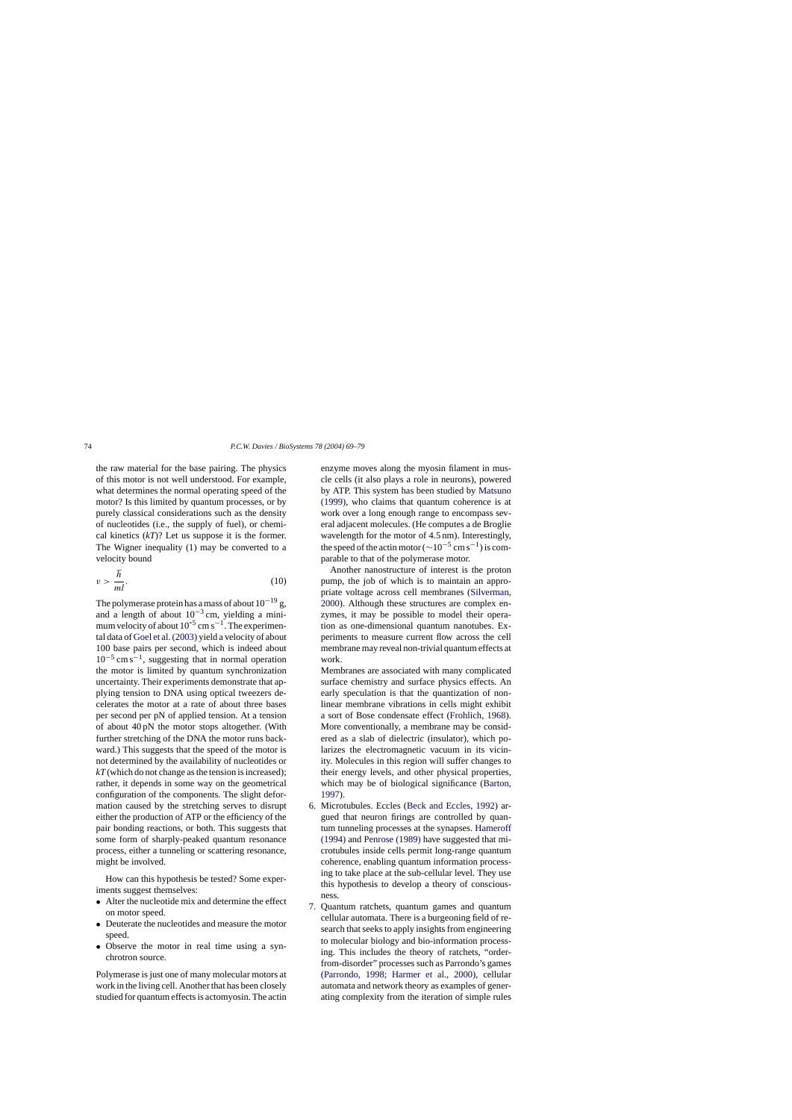the raw material for the base pairing. The physics of this motor is not well understood. For example, what determines the normal operating speed of the motor? Is this limited by quantum processes, or by purely classical considerations such as the density of nucleotides (i.e., the supply of fuel), or chemical kinetics (*kT*)? Let us suppose it is the former. The Wigner inequality (1) may be converted to a velocity bound

$$
v > \frac{\hbar}{ml}.\tag{10}
$$

The polymerase protein has a mass of about  $10^{-19}$  g, and a length of about  $10^{-3}$  cm, yielding a minimum velocity of about  $10^{-5}$  cm s<sup>−1</sup>. The experimental data of [Goel et al. \(2003\)](#page-9-0) yield a velocity of about 100 base pairs per second, which is indeed about  $10^{-5}$  cm s<sup>-1</sup>, suggesting that in normal operation the motor is limited by quantum synchronization uncertainty. Their experiments demonstrate that applying tension to DNA using optical tweezers decelerates the motor at a rate of about three bases per second per pN of applied tension. At a tension of about 40 pN the motor stops altogether. (With further stretching of the DNA the motor runs backward.) This suggests that the speed of the motor is not determined by the availability of nucleotides or *kT* (which do not change as the tension is increased); rather, it depends in some way on the geometrical configuration of the components. The slight deformation caused by the stretching serves to disrupt either the production of ATP or the efficiency of the pair bonding reactions, or both. This suggests that some form of sharply-peaked quantum resonance process, either a tunneling or scattering resonance, might be involved.

How can this hypothesis be tested? Some experiments suggest themselves:

- Alter the nucleotide mix and determine the effect on motor speed.
- Deuterate the nucleotides and measure the motor speed.
- Observe the motor in real time using a synchrotron source.

Polymerase is just one of many molecular motors at work in the living cell. Another that has been closely studied for quantum effects is actomyosin. The actin

enzyme moves along the myosin filament in muscle cells (it also plays a role in neurons), powered by ATP. This system has been studied by [Matsuno](#page-9-0) [\(1999\),](#page-9-0) who claims that quantum coherence is at work over a long enough range to encompass several adjacent molecules. (He computes a de Broglie wavelength for the motor of 4.5 nm). Interestingly, the speed of the actin motor ( $\sim$ 10<sup>-5</sup> cm s<sup>-1</sup>) is comparable to that of the polymerase motor.

Another nanostructure of interest is the proton pump, the job of which is to maintain an appropriate voltage across cell membranes ([Silverman,](#page-10-0) [2000\).](#page-10-0) Although these structures are complex enzymes, it may be possible to model their operation as one-dimensional quantum nanotubes. Experiments to measure current flow across the cell membrane may reveal non-trivial quantum effects at work.

Membranes are associated with many complicated surface chemistry and surface physics effects. An early speculation is that the quantization of nonlinear membrane vibrations in cells might exhibit a sort of Bose condensate effect ([Frohlich, 1968\).](#page-9-0) More conventionally, a membrane may be considered as a slab of dielectric (insulator), which polarizes the electromagnetic vacuum in its vicinity. Molecules in this region will suffer changes to their energy levels, and other physical properties, which may be of biological significance [\(Barton,](#page-9-0) [1997\).](#page-9-0)

- 6. Microtubules. Eccles ([Beck and Eccles, 1992\)](#page-9-0) argued that neuron firings are controlled by quantum tunneling processes at the synapses. [Hameroff](#page-9-0) [\(1994\)](#page-9-0) and [Penrose \(1989\)](#page-10-0) have suggested that microtubules inside cells permit long-range quantum coherence, enabling quantum information processing to take place at the sub-cellular level. They use this hypothesis to develop a theory of consciousness.
- 7. Quantum ratchets, quantum games and quantum cellular automata. There is a burgeoning field of research that seeks to apply insights from engineering to molecular biology and bio-information processing. This includes the theory of ratchets, "orderfrom-disorder" processes such as Parrondo's games ([Parrondo, 1998; Harmer et al., 200](#page-10-0)0), cellular automata and network theory as examples of generating complexity from the iteration of simple rules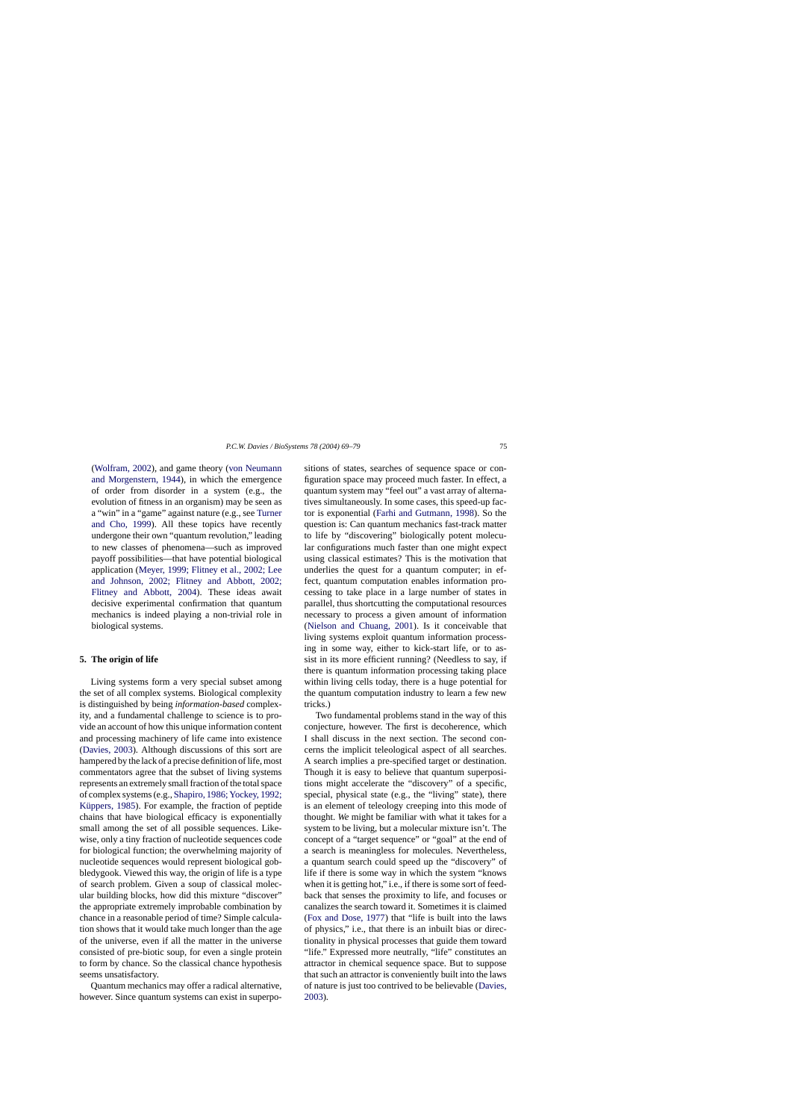([Wolfram, 2002\),](#page-10-0) and game theory [\(von Neumann](#page-10-0) [and Morgenstern, 1944\)](#page-10-0), in which the emergence of order from disorder in a system (e.g., the evolution of fitness in an organism) may be seen as a "win" in a "game" against nature (e.g., see [Turner](#page-10-0) [and Cho, 1999\)](#page-10-0). All these topics have recently undergone their own "quantum revolution," leading to new classes of phenomena—such as improved payoff possibilities—that have potential biological application ([Meyer, 1999; Flitney et al., 2002; Lee](#page-9-0) [and Johnson, 2002; Flitney and Abbott, 2002;](#page-9-0) [Flitney and Abbott, 200](#page-9-0)4). These ideas await decisive experimental confirmation that quantum mechanics is indeed playing a non-trivial role in biological systems.

## **5. The origin of life**

Living systems form a very special subset among the set of all complex systems. Biological complexity is distinguished by being *information-based* complexity, and a fundamental challenge to science is to provide an account of how this unique information content and processing machinery of life came into existence ([Davies, 2003\).](#page-9-0) Although discussions of this sort are hampered by the lack of a precise definition of life, most commentators agree that the subset of living systems represents an extremely small fraction of the total space of complex systems (e.g., [Shapiro, 1986; Yockey, 1992;](#page-10-0) Küppers, 1985). For example, the fraction of peptide chains that have biological efficacy is exponentially small among the set of all possible sequences. Likewise, only a tiny fraction of nucleotide sequences code for biological function; the overwhelming majority of nucleotide sequences would represent biological gobbledygook. Viewed this way, the origin of life is a type of search problem. Given a soup of classical molecular building blocks, how did this mixture "discover" the appropriate extremely improbable combination by chance in a reasonable period of time? Simple calculation shows that it would take much longer than the age of the universe, even if all the matter in the universe consisted of pre-biotic soup, for even a single protein to form by chance. So the classical chance hypothesis seems unsatisfactory.

Quantum mechanics may offer a radical alternative, however. Since quantum systems can exist in superpositions of states, searches of sequence space or configuration space may proceed much faster. In effect, a quantum system may "feel out" a vast array of alternatives simultaneously. In some cases, this speed-up factor is exponential [\(Farhi and Gutmann, 1998\).](#page-9-0) So the question is: Can quantum mechanics fast-track matter to life by "discovering" biologically potent molecular configurations much faster than one might expect using classical estimates? This is the motivation that underlies the quest for a quantum computer; in effect, quantum computation enables information processing to take place in a large number of states in parallel, thus shortcutting the computational resources necessary to process a given amount of information [\(Nielson and Chuang, 2001](#page-10-0)). Is it conceivable that living systems exploit quantum information processing in some way, either to kick-start life, or to assist in its more efficient running? (Needless to say, if there is quantum information processing taking place within living cells today, there is a huge potential for the quantum computation industry to learn a few new tricks.)

Two fundamental problems stand in the way of this conjecture, however. The first is decoherence, which I shall discuss in the next section. The second concerns the implicit teleological aspect of all searches. A search implies a pre-specified target or destination. Though it is easy to believe that quantum superpositions might accelerate the "discovery" of a specific, special, physical state (e.g., the "living" state), there is an element of teleology creeping into this mode of thought. *We* might be familiar with what it takes for a system to be living, but a molecular mixture isn't. The concept of a "target sequence" or "goal" at the end of a search is meaningless for molecules. Nevertheless, a quantum search could speed up the "discovery" of life if there is some way in which the system "knows when it is getting hot," i.e., if there is some sort of feedback that senses the proximity to life, and focuses or canalizes the search toward it. Sometimes it is claimed [\(Fox and Dose, 1977\)](#page-9-0) that "life is built into the laws of physics," i.e., that there is an inbuilt bias or directionality in physical processes that guide them toward "life." Expressed more neutrally, "life" constitutes an attractor in chemical sequence space. But to suppose that such an attractor is conveniently built into the laws of nature is just too contrived to be believable ([Davies,](#page-9-0) [2003\).](#page-9-0)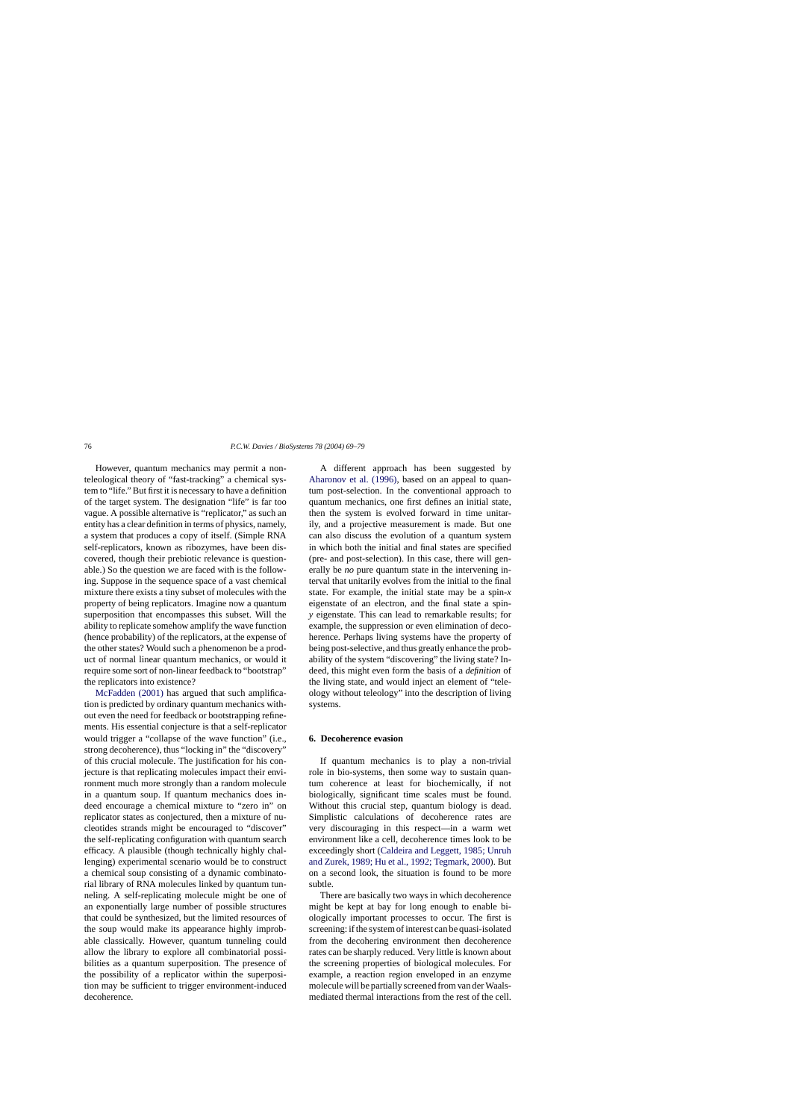<span id="page-7-0"></span>However, quantum mechanics may permit a nonteleological theory of "fast-tracking" a chemical system to "life." But first it is necessary to have a definition of the target system. The designation "life" is far too vague. A possible alternative is "replicator," as such an entity has a clear definition in terms of physics, namely, a system that produces a copy of itself. (Simple RNA self-replicators, known as ribozymes, have been discovered, though their prebiotic relevance is questionable.) So the question we are faced with is the following. Suppose in the sequence space of a vast chemical mixture there exists a tiny subset of molecules with the property of being replicators. Imagine now a quantum superposition that encompasses this subset. Will the ability to replicate somehow amplify the wave function (hence probability) of the replicators, at the expense of the other states? Would such a phenomenon be a product of normal linear quantum mechanics, or would it require some sort of non-linear feedback to "bootstrap" the replicators into existence?

[McFadden \(2001\)](#page-9-0) has argued that such amplification is predicted by ordinary quantum mechanics without even the need for feedback or bootstrapping refinements. His essential conjecture is that a self-replicator would trigger a "collapse of the wave function" (i.e., strong decoherence), thus "locking in" the "discovery" of this crucial molecule. The justification for his conjecture is that replicating molecules impact their environment much more strongly than a random molecule in a quantum soup. If quantum mechanics does indeed encourage a chemical mixture to "zero in" on replicator states as conjectured, then a mixture of nucleotides strands might be encouraged to "discover" the self-replicating configuration with quantum search efficacy. A plausible (though technically highly challenging) experimental scenario would be to construct a chemical soup consisting of a dynamic combinatorial library of RNA molecules linked by quantum tunneling. A self-replicating molecule might be one of an exponentially large number of possible structures that could be synthesized, but the limited resources of the soup would make its appearance highly improbable classically. However, quantum tunneling could allow the library to explore all combinatorial possibilities as a quantum superposition. The presence of the possibility of a replicator within the superposition may be sufficient to trigger environment-induced decoherence.

A different approach has been suggested by [Aharonov et al. \(1996\),](#page-9-0) based on an appeal to quantum post-selection. In the conventional approach to quantum mechanics, one first defines an initial state, then the system is evolved forward in time unitarily, and a projective measurement is made. But one can also discuss the evolution of a quantum system in which both the initial and final states are specified (pre- and post-selection). In this case, there will generally be *no* pure quantum state in the intervening interval that unitarily evolves from the initial to the final state. For example, the initial state may be a spin-*x* eigenstate of an electron, and the final state a spin*y* eigenstate. This can lead to remarkable results; for example, the suppression or even elimination of decoherence. Perhaps living systems have the property of being post-selective, and thus greatly enhance the probability of the system "discovering" the living state? Indeed, this might even form the basis of a *definition* of the living state, and would inject an element of "teleology without teleology" into the description of living systems.

## **6. Decoherence evasion**

If quantum mechanics is to play a non-trivial role in bio-systems, then some way to sustain quantum coherence at least for biochemically, if not biologically, significant time scales must be found. Without this crucial step, quantum biology is dead. Simplistic calculations of decoherence rates are very discouraging in this respect—in a warm wet environment like a cell, decoherence times look to be exceedingly short ([Caldeira and Leggett, 1985; Unruh](#page-9-0) [and Zurek, 1989; Hu et al., 1992; Tegmark, 2000\).](#page-9-0) But on a second look, the situation is found to be more subtle.

There are basically two ways in which decoherence might be kept at bay for long enough to enable biologically important processes to occur. The first is screening: if the system of interest can be quasi-isolated from the decohering environment then decoherence rates can be sharply reduced. Very little is known about the screening properties of biological molecules. For example, a reaction region enveloped in an enzyme molecule will be partially screened from van der Waalsmediated thermal interactions from the rest of the cell.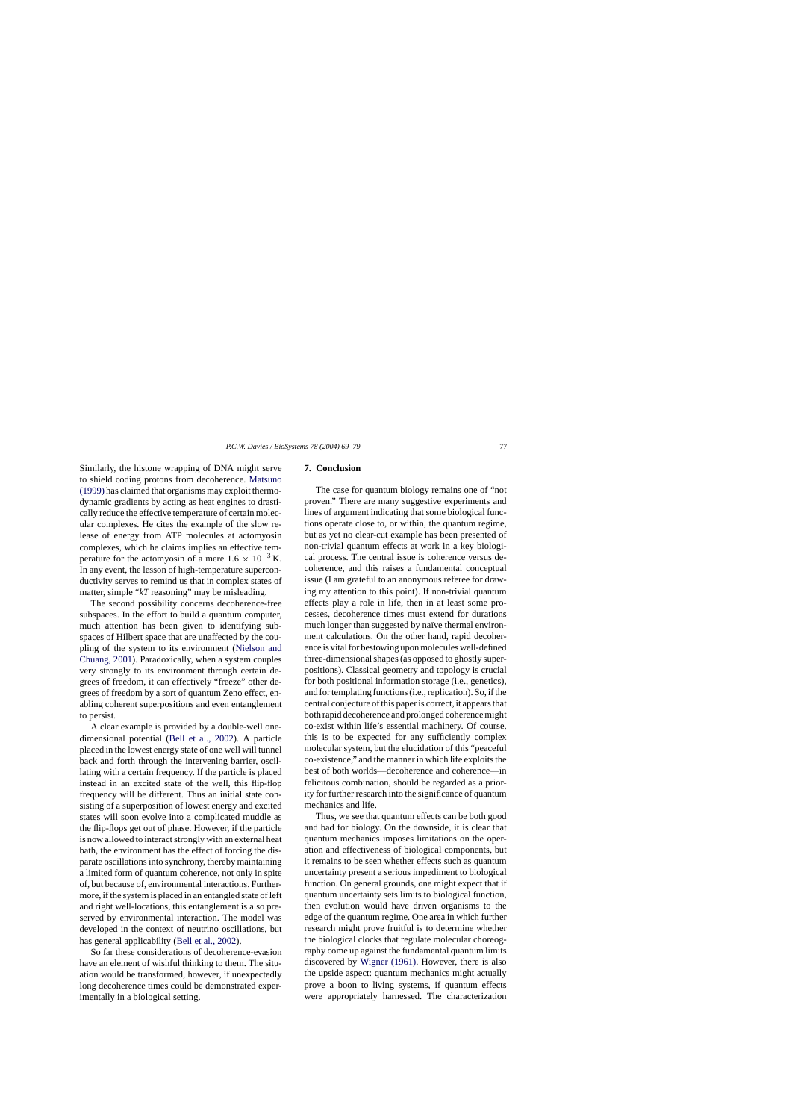Similarly, the histone wrapping of DNA might serve to shield coding protons from decoherence. [Matsuno](#page-9-0) [\(1999\)](#page-9-0) has claimed that organisms may exploit thermodynamic gradients by acting as heat engines to drastically reduce the effective temperature of certain molecular complexes. He cites the example of the slow release of energy from ATP molecules at actomyosin complexes, which he claims implies an effective temperature for the actomyosin of a mere  $1.6 \times 10^{-3}$  K. In any event, the lesson of high-temperature superconductivity serves to remind us that in complex states of matter, simple " $kT$  reasoning" may be misleading.

The second possibility concerns decoherence-free subspaces. In the effort to build a quantum computer, much attention has been given to identifying subspaces of Hilbert space that are unaffected by the coupling of the system to its environment ([Nielson and](#page-10-0) [Chuang, 2001\).](#page-10-0) Paradoxically, when a system couples very strongly to its environment through certain degrees of freedom, it can effectively "freeze" other degrees of freedom by a sort of quantum Zeno effect, enabling coherent superpositions and even entanglement to persist.

A clear example is provided by a double-well onedimensional potential ([Bell et al., 2002](#page-9-0)). A particle placed in the lowest energy state of one well will tunnel back and forth through the intervening barrier, oscillating with a certain frequency. If the particle is placed instead in an excited state of the well, this flip-flop frequency will be different. Thus an initial state consisting of a superposition of lowest energy and excited states will soon evolve into a complicated muddle as the flip-flops get out of phase. However, if the particle is now allowed to interact strongly with an external heat bath, the environment has the effect of forcing the disparate oscillations into synchrony, thereby maintaining a limited form of quantum coherence, not only in spite of, but because of, environmental interactions. Furthermore, if the system is placed in an entangled state of left and right well-locations, this entanglement is also preserved by environmental interaction. The model was developed in the context of neutrino oscillations, but has general applicability ([Bell et al., 2002\).](#page-9-0)

So far these considerations of decoherence-evasion have an element of wishful thinking to them. The situation would be transformed, however, if unexpectedly long decoherence times could be demonstrated experimentally in a biological setting.

## **7. Conclusion**

The case for quantum biology remains one of "not proven." There are many suggestive experiments and lines of argument indicating that some biological functions operate close to, or within, the quantum regime, but as yet no clear-cut example has been presented of non-trivial quantum effects at work in a key biological process. The central issue is coherence versus decoherence, and this raises a fundamental conceptual issue (I am grateful to an anonymous referee for drawing my attention to this point). If non-trivial quantum effects play a role in life, then in at least some processes, decoherence times must extend for durations much longer than suggested by naïve thermal environment calculations. On the other hand, rapid decoherence is vital for bestowing upon molecules well-defined three-dimensional shapes (as opposed to ghostly superpositions). Classical geometry and topology is crucial for both positional information storage (i.e., genetics), and for templating functions (i.e., replication). So, if the central conjecture of this paper is correct, it appears that both rapid decoherence and prolonged coherence might co-exist within life's essential machinery. Of course, this is to be expected for any sufficiently complex molecular system, but the elucidation of this "peaceful co-existence," and the manner in which life exploits the best of both worlds—decoherence and coherence—in felicitous combination, should be regarded as a priority for further research into the significance of quantum mechanics and life.

Thus, we see that quantum effects can be both good and bad for biology. On the downside, it is clear that quantum mechanics imposes limitations on the operation and effectiveness of biological components, but it remains to be seen whether effects such as quantum uncertainty present a serious impediment to biological function. On general grounds, one might expect that if quantum uncertainty sets limits to biological function, then evolution would have driven organisms to the edge of the quantum regime. One area in which further research might prove fruitful is to determine whether the biological clocks that regulate molecular choreography come up against the fundamental quantum limits discovered by [Wigner \(1961\).](#page-10-0) However, there is also the upside aspect: quantum mechanics might actually prove a boon to living systems, if quantum effects were appropriately harnessed. The characterization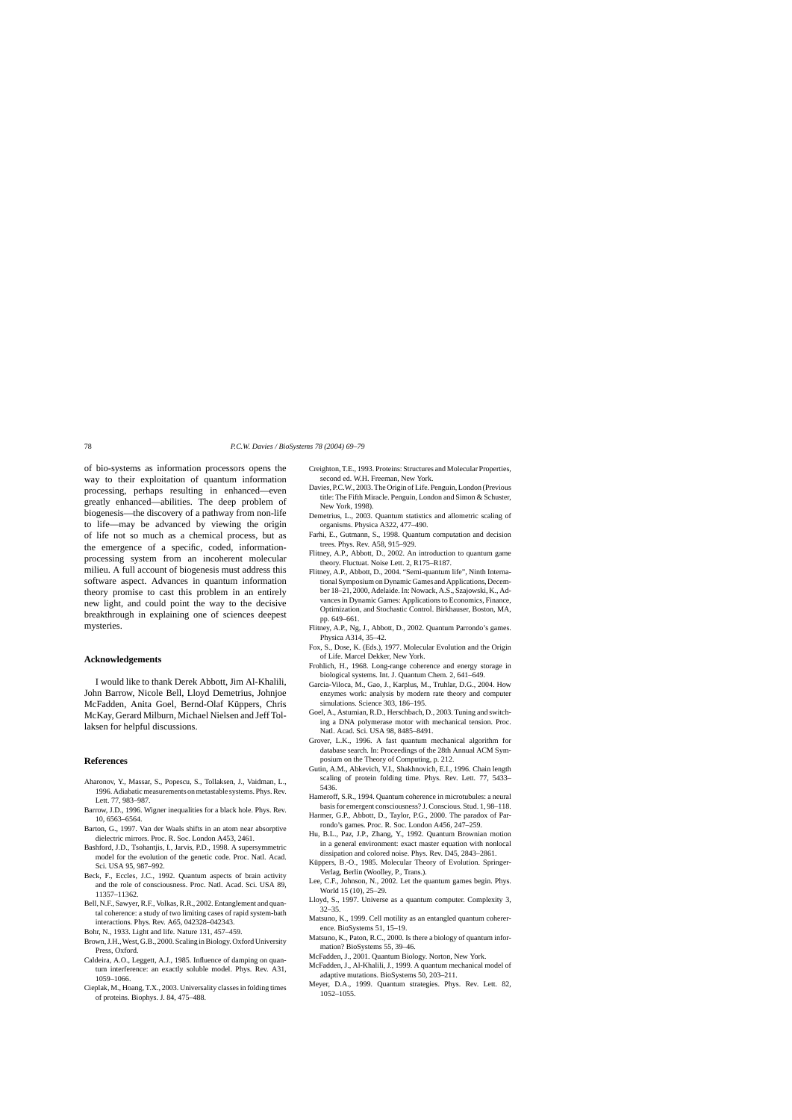<span id="page-9-0"></span>of bio-systems as information processors opens the way to their exploitation of quantum information processing, perhaps resulting in enhanced—even greatly enhanced—abilities. The deep problem of biogenesis—the discovery of a pathway from non-life to life—may be advanced by viewing the origin of life not so much as a chemical process, but as the emergence of a specific, coded, informationprocessing system from an incoherent molecular milieu. A full account of biogenesis must address this software aspect. Advances in quantum information theory promise to cast this problem in an entirely new light, and could point the way to the decisive breakthrough in explaining one of sciences deepest mysteries.

## **Acknowledgements**

I would like to thank Derek Abbott, Jim Al-Khalili, John Barrow, Nicole Bell, Lloyd Demetrius, Johnjoe McFadden, Anita Goel, Bernd-Olaf Küppers, Chris McKay, Gerard Milburn, Michael Nielsen and Jeff Tollaksen for helpful discussions.

### **References**

- Aharonov, Y., Massar, S., Popescu, S., Tollaksen, J., Vaidman, L., 1996. Adiabatic measurements on metastable systems. Phys. Rev. Lett. 77, 983–987.
- Barrow, J.D., 1996. Wigner inequalities for a black hole. Phys. Rev. 10, 6563–6564.
- Barton, G., 1997. Van der Waals shifts in an atom near absorptive dielectric mirrors. Proc. R. Soc. London A453, 2461.
- Bashford, J.D., Tsohantjis, I., Jarvis, P.D., 1998. A supersymmetric model for the evolution of the genetic code. Proc. Natl. Acad. Sci. USA 95, 987–992.
- Beck, F., Eccles, J.C., 1992. Quantum aspects of brain activity and the role of consciousness. Proc. Natl. Acad. Sci. USA 89, 11357–11362.
- Bell, N.F., Sawyer, R.F., Volkas, R.R., 2002. Entanglement and quantal coherence: a study of two limiting cases of rapid system-bath interactions. Phys. Rev. A65, 042328–042343.
- Bohr, N., 1933. Light and life. Nature 131, 457–459.
- Brown, J.H., West, G.B., 2000. Scaling in Biology. Oxford University Press, Oxford.
- Caldeira, A.O., Leggett, A.J., 1985. Influence of damping on quantum interference: an exactly soluble model. Phys. Rev. A31, 1059–1066.
- Cieplak, M., Hoang, T.X., 2003. Universality classes in folding times of proteins. Biophys. J. 84, 475–488.
- Creighton, T.E., 1993. Proteins: Structures and Molecular Properties, second ed. W.H. Freeman, New York.
- Davies, P.C.W., 2003. The Origin of Life. Penguin, London (Previous title: The Fifth Miracle. Penguin, London and Simon & Schuster, New York, 1998).
- Demetrius, L., 2003. Quantum statistics and allometric scaling of organisms. Physica A322, 477–490.
- Farhi, E., Gutmann, S., 1998. Quantum computation and decision trees. Phys. Rev. A58, 915–929.
- Flitney, A.P., Abbott, D., 2002. An introduction to quantum game theory. Fluctuat. Noise Lett. 2, R175–R187.
- Flitney, A.P., Abbott, D., 2004. "Semi-quantum life", Ninth International Symposium on Dynamic Games and Applications, December 18–21, 2000, Adelaide. In: Nowack, A.S., Szajowski, K., Advances in Dynamic Games: Applications to Economics, Finance, Optimization, and Stochastic Control. Birkhauser, Boston, MA, pp. 649–661.
- Flitney, A.P., Ng, J., Abbott, D., 2002. Quantum Parrondo's games. Physica A314, 35–42.
- Fox, S., Dose, K. (Eds.), 1977. Molecular Evolution and the Origin of Life. Marcel Dekker, New York.
- Frohlich, H., 1968. Long-range coherence and energy storage in biological systems. Int. J. Quantum Chem. 2, 641–649.
- Garcia-Viloca, M., Gao, J., Karplus, M., Truhlar, D.G., 2004. How enzymes work: analysis by modern rate theory and computer simulations. Science 303, 186–195.
- Goel, A., Astumian, R.D., Herschbach, D., 2003. Tuning and switching a DNA polymerase motor with mechanical tension. Proc. Natl. Acad. Sci. USA 98, 8485–8491.
- Grover, L.K., 1996. A fast quantum mechanical algorithm for database search. In: Proceedings of the 28th Annual ACM Symposium on the Theory of Computing, p. 212.
- Gutin, A.M., Abkevich, V.I., Shakhnovich, E.I., 1996. Chain length scaling of protein folding time. Phys. Rev. Lett. 77, 5433– 5436.
- Hameroff, S.R., 1994. Quantum coherence in microtubules: a neural basis for emergent consciousness? J. Conscious. Stud. 1, 98–118.
- Harmer, G.P., Abbott, D., Taylor, P.G., 2000. The paradox of Parrondo's games. Proc. R. Soc. London A456, 247–259.
- Hu, B.L., Paz, J.P., Zhang, Y., 1992. Quantum Brownian motion in a general environment: exact master equation with nonlocal dissipation and colored noise. Phys. Rev. D45, 2843–2861.
- Küppers, B.-O., 1985. Molecular Theory of Evolution. Springer-Verlag, Berlin (Woolley, P., Trans.).
- Lee, C.F., Johnson, N., 2002. Let the quantum games begin. Phys. World 15 (10), 25–29.
- Lloyd, S., 1997. Universe as a quantum computer. Complexity 3, 32–35.
- Matsuno, K., 1999. Cell motility as an entangled quantum cohererence. BioSystems 51, 15–19.
- Matsuno, K., Paton, R.C., 2000. Is there a biology of quantum information? BioSystems 55, 39–46.
- McFadden, J., 2001. Quantum Biology. Norton, New York.
- McFadden, J., Al-Khalili, J., 1999. A quantum mechanical model of adaptive mutations. BioSystems 50, 203–211.
- Meyer, D.A., 1999. Quantum strategies. Phys. Rev. Lett. 82, 1052–1055.